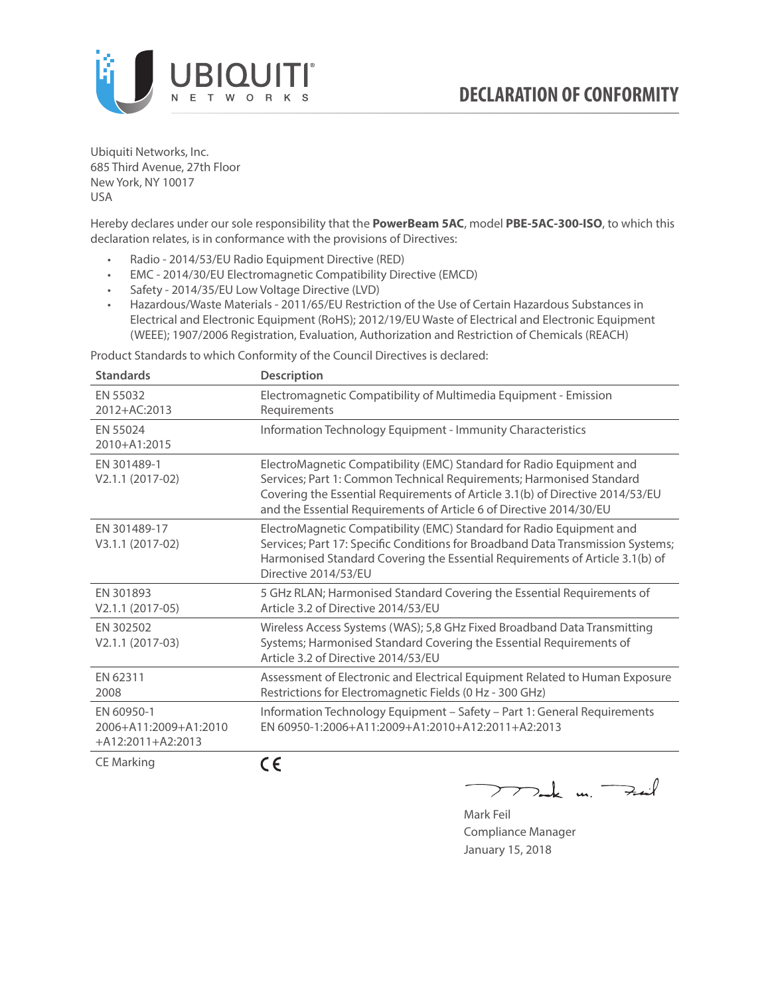

Ubiquiti Networks, Inc. 685 Third Avenue, 27th Floor New York, NY 10017 USA

Hereby declares under our sole responsibility that the **PowerBeam 5AC**, model **PBE-5AC-300-ISO**, to which this declaration relates, is in conformance with the provisions of Directives:

- Radio 2014/53/EU Radio Equipment Directive (RED)
- EMC 2014/30/EU Electromagnetic Compatibility Directive (EMCD)
- Safety 2014/35/EU Low Voltage Directive (LVD)
- Hazardous/Waste Materials 2011/65/EU Restriction of the Use of Certain Hazardous Substances in Electrical and Electronic Equipment (RoHS); 2012/19/EU Waste of Electrical and Electronic Equipment (WEEE); 1907/2006 Registration, Evaluation, Authorization and Restriction of Chemicals (REACH)

Product Standards to which Conformity of the Council Directives is declared:

| <b>Standards</b>                                           | <b>Description</b>                                                                                                                                                                                                                                                                                   |
|------------------------------------------------------------|------------------------------------------------------------------------------------------------------------------------------------------------------------------------------------------------------------------------------------------------------------------------------------------------------|
| EN 55032<br>2012+AC:2013                                   | Electromagnetic Compatibility of Multimedia Equipment - Emission<br>Requirements                                                                                                                                                                                                                     |
| EN 55024<br>2010+A1:2015                                   | Information Technology Equipment - Immunity Characteristics                                                                                                                                                                                                                                          |
| EN 301489-1<br>V2.1.1 (2017-02)                            | ElectroMagnetic Compatibility (EMC) Standard for Radio Equipment and<br>Services; Part 1: Common Technical Requirements; Harmonised Standard<br>Covering the Essential Requirements of Article 3.1(b) of Directive 2014/53/EU<br>and the Essential Requirements of Article 6 of Directive 2014/30/EU |
| EN 301489-17<br>V3.1.1 (2017-02)                           | ElectroMagnetic Compatibility (EMC) Standard for Radio Equipment and<br>Services; Part 17: Specific Conditions for Broadband Data Transmission Systems;<br>Harmonised Standard Covering the Essential Requirements of Article 3.1(b) of<br>Directive 2014/53/EU                                      |
| EN 301893<br>$V2.1.1 (2017-05)$                            | 5 GHz RLAN; Harmonised Standard Covering the Essential Requirements of<br>Article 3.2 of Directive 2014/53/EU                                                                                                                                                                                        |
| EN 302502<br>V2.1.1 (2017-03)                              | Wireless Access Systems (WAS); 5,8 GHz Fixed Broadband Data Transmitting<br>Systems; Harmonised Standard Covering the Essential Requirements of<br>Article 3.2 of Directive 2014/53/EU                                                                                                               |
| EN 62311<br>2008                                           | Assessment of Electronic and Electrical Equipment Related to Human Exposure<br>Restrictions for Electromagnetic Fields (0 Hz - 300 GHz)                                                                                                                                                              |
| EN 60950-1<br>2006+A11:2009+A1:2010<br>$+A12:2011+A2:2013$ | Information Technology Equipment - Safety - Part 1: General Requirements<br>EN 60950-1:2006+A11:2009+A1:2010+A12:2011+A2:2013                                                                                                                                                                        |
| <b>CE Marking</b>                                          | CE                                                                                                                                                                                                                                                                                                   |

 $\sum_{n=1}^{\infty}$  un  $\sum_{n=1}^{\infty}$ 

Mark Feil Compliance Manager January 15, 2018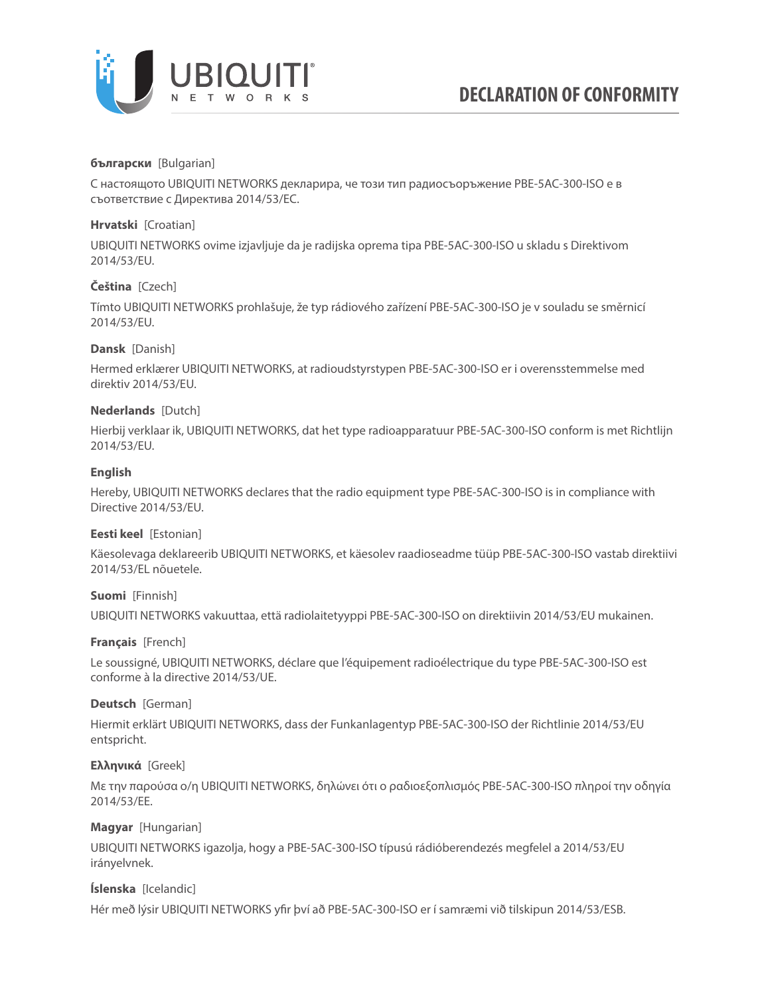

## **български** [Bulgarian]

С настоящото UBIQUITI NETWORKS декларира, че този тип радиосъоръжение PBE-5AC-300-ISO е в съответствие с Директива 2014/53/ЕС.

## **Hrvatski** [Croatian]

UBIQUITI NETWORKS ovime izjavljuje da je radijska oprema tipa PBE-5AC-300-ISO u skladu s Direktivom 2014/53/EU.

# **Čeština** [Czech]

Tímto UBIQUITI NETWORKS prohlašuje, že typ rádiového zařízení PBE-5AC-300-ISO je v souladu se směrnicí 2014/53/EU.

## **Dansk** [Danish]

Hermed erklærer UBIQUITI NETWORKS, at radioudstyrstypen PBE-5AC-300-ISO er i overensstemmelse med direktiv 2014/53/EU.

## **Nederlands** [Dutch]

Hierbij verklaar ik, UBIQUITI NETWORKS, dat het type radioapparatuur PBE-5AC-300-ISO conform is met Richtlijn 2014/53/EU.

# **English**

Hereby, UBIQUITI NETWORKS declares that the radio equipment type PBE-5AC-300-ISO is in compliance with Directive 2014/53/EU.

## **Eesti keel** [Estonian]

Käesolevaga deklareerib UBIQUITI NETWORKS, et käesolev raadioseadme tüüp PBE-5AC-300-ISO vastab direktiivi 2014/53/EL nõuetele.

## **Suomi** [Finnish]

UBIQUITI NETWORKS vakuuttaa, että radiolaitetyyppi PBE-5AC-300-ISO on direktiivin 2014/53/EU mukainen.

## **Français** [French]

Le soussigné, UBIQUITI NETWORKS, déclare que l'équipement radioélectrique du type PBE-5AC-300-ISO est conforme à la directive 2014/53/UE.

## **Deutsch** [German]

Hiermit erklärt UBIQUITI NETWORKS, dass der Funkanlagentyp PBE-5AC-300-ISO der Richtlinie 2014/53/EU entspricht.

## **Ελληνικά** [Greek]

Με την παρούσα ο/η UBIQUITI NETWORKS, δηλώνει ότι ο ραδιοεξοπλισμός PBE-5AC-300-ISO πληροί την οδηγία 2014/53/ΕΕ.

## **Magyar** [Hungarian]

UBIQUITI NETWORKS igazolja, hogy a PBE-5AC-300-ISO típusú rádióberendezés megfelel a 2014/53/EU irányelvnek.

## **Íslenska** [Icelandic]

Hér með lýsir UBIQUITI NETWORKS yfir því að PBE-5AC-300-ISO er í samræmi við tilskipun 2014/53/ESB.